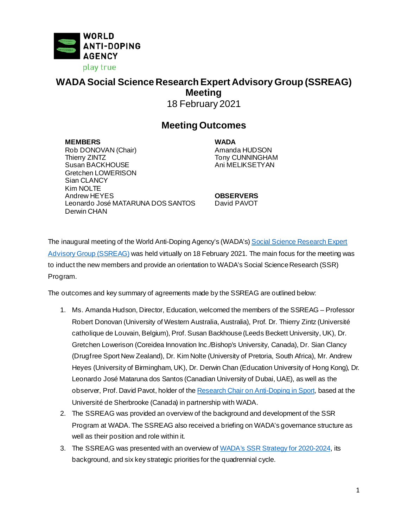

## **WADA Social Science Research Expert Advisory Group (SSREAG) Meeting** 18 February 2021

## **Meeting Outcomes**

**MEMBERS WADA** Rob DONOVAN (Chair) Amanda HUDSON Susan BACKHOUSE Gretchen LOWERISON Sian CLANCY Kim NOLTE Andrew HEYES **OBSERVERS** Leonardo José MATARUNA DOS SANTOS Derwin CHAN

Tony CUNNINGHAM<br>Ani MELIKSETYAN

David PAVOT

The inaugural meeting of the World Anti-Doping Agency's (WADA's) Social Science Research Expert [Advisory Group](https://www.wada-ama.org/en/who-we-are/governance/social-science-expert-advisory-group) (SSREAG) was held virtually on 18 February 2021. The main focus for the meeting was to induct the new members and provide an orientation to WADA's Social Science Research (SSR) Program.

The outcomes and key summary of agreements made by the SSREAG are outlined below:

- 1. Ms. Amanda Hudson, Director, Education, welcomed the members of the SSREAG Professor Robert Donovan (University of Western Australia, Australia), Prof. Dr. Thierry Zintz (Université catholique de Louvain, Belgium), Prof. Susan Backhouse (Leeds Beckett University, UK), Dr. Gretchen Lowerison (Coreidea Innovation Inc./Bishop's University, Canada), Dr. Sian Clancy (Drugfree Sport New Zealand), Dr. Kim Nolte (University of Pretoria, South Africa), Mr. Andrew Heyes (University of Birmingham, UK), Dr. Derwin Chan (Education University of Hong Kong), Dr. Leonardo José Mataruna dos Santos (Canadian University of Dubai, UAE), as well as the observer, Prof. David Pavot, holder of th[e Research Chair on Anti-Doping in Sport](https://www.wada-ama.org/en/media/news/2020-02/wada-and-the-universite-de-sherbrooke-launch-a-research-chair-on-anti-doping-in), based at the Université de Sherbrooke (Canada) in partnership with WADA.
- 2. The SSREAG was provided an overview of the background and development of the SSR Program at WADA. The SSREAG also received a briefing on WADA's governance structure as well as their position and role within it.
- 3. The SSREAG was presented with an overview of WADA's [SSR Strategy for](https://www.wada-ama.org/en/resources/education-and-prevention/social-science-research-strategy-2020-2024) 2020-2024, its background, and six key strategic priorities for the quadrennial cycle.